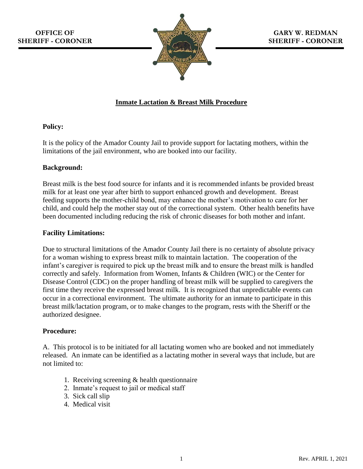

# **Inmate Lactation & Breast Milk Procedure**

## **Policy:**

It is the policy of the Amador County Jail to provide support for lactating mothers, within the limitations of the jail environment, who are booked into our facility.

## **Background:**

Breast milk is the best food source for infants and it is recommended infants be provided breast milk for at least one year after birth to support enhanced growth and development. Breast feeding supports the mother-child bond, may enhance the mother's motivation to care for her child, and could help the mother stay out of the correctional system. Other health benefits have been documented including reducing the risk of chronic diseases for both mother and infant.

### **Facility Limitations:**

Due to structural limitations of the Amador County Jail there is no certainty of absolute privacy for a woman wishing to express breast milk to maintain lactation. The cooperation of the infant's caregiver is required to pick up the breast milk and to ensure the breast milk is handled correctly and safely. Information from Women, Infants & Children (WIC) or the Center for Disease Control (CDC) on the proper handling of breast milk will be supplied to caregivers the first time they receive the expressed breast milk. It is recognized that unpredictable events can occur in a correctional environment. The ultimate authority for an inmate to participate in this breast milk/lactation program, or to make changes to the program, rests with the Sheriff or the authorized designee.

## **Procedure:**

A. This protocol is to be initiated for all lactating women who are booked and not immediately released. An inmate can be identified as a lactating mother in several ways that include, but are not limited to:

- 1. Receiving screening & health questionnaire
- 2. Inmate's request to jail or medical staff
- 3. Sick call slip
- 4. Medical visit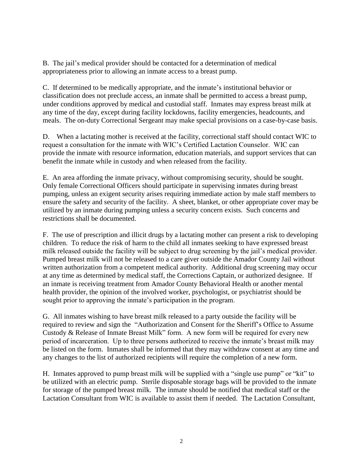B. The jail's medical provider should be contacted for a determination of medical appropriateness prior to allowing an inmate access to a breast pump.

C. If determined to be medically appropriate, and the inmate's institutional behavior or classification does not preclude access, an inmate shall be permitted to access a breast pump, under conditions approved by medical and custodial staff. Inmates may express breast milk at any time of the day, except during facility lockdowns, facility emergencies, headcounts, and meals. The on-duty Correctional Sergeant may make special provisions on a case-by-case basis.

D. When a lactating mother is received at the facility, correctional staff should contact WIC to request a consultation for the inmate with WIC's Certified Lactation Counselor. WIC can provide the inmate with resource information, education materials, and support services that can benefit the inmate while in custody and when released from the facility.

E. An area affording the inmate privacy, without compromising security, should be sought. Only female Correctional Officers should participate in supervising inmates during breast pumping, unless an exigent security arises requiring immediate action by male staff members to ensure the safety and security of the facility. A sheet, blanket, or other appropriate cover may be utilized by an inmate during pumping unless a security concern exists. Such concerns and restrictions shall be documented.

F. The use of prescription and illicit drugs by a lactating mother can present a risk to developing children. To reduce the risk of harm to the child all inmates seeking to have expressed breast milk released outside the facility will be subject to drug screening by the jail's medical provider. Pumped breast milk will not be released to a care giver outside the Amador County Jail without written authorization from a competent medical authority. Additional drug screening may occur at any time as determined by medical staff, the Corrections Captain, or authorized designee. If an inmate is receiving treatment from Amador County Behavioral Health or another mental health provider, the opinion of the involved worker, psychologist, or psychiatrist should be sought prior to approving the inmate's participation in the program.

G. All inmates wishing to have breast milk released to a party outside the facility will be required to review and sign the "Authorization and Consent for the Sheriff's Office to Assume Custody & Release of Inmate Breast Milk" form. A new form will be required for every new period of incarceration. Up to three persons authorized to receive the inmate's breast milk may be listed on the form. Inmates shall be informed that they may withdraw consent at any time and any changes to the list of authorized recipients will require the completion of a new form.

H. Inmates approved to pump breast milk will be supplied with a "single use pump" or "kit" to be utilized with an electric pump. Sterile disposable storage bags will be provided to the inmate for storage of the pumped breast milk. The inmate should be notified that medical staff or the Lactation Consultant from WIC is available to assist them if needed. The Lactation Consultant,